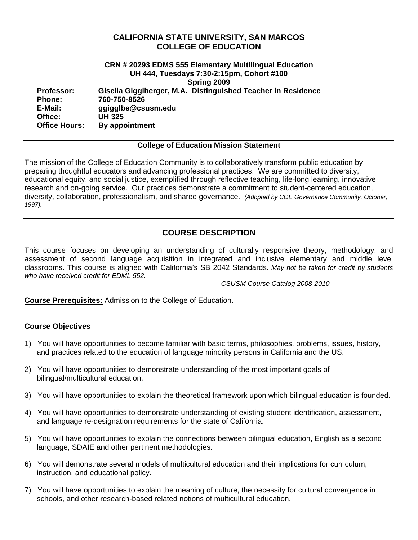## **CALIFORNIA STATE UNIVERSITY, SAN MARCOS COLLEGE OF EDUCATION**

### **CRN # 20293 EDMS 555 Elementary Multilingual Education UH 444, Tuesdays 7:30-2:15pm, Cohort #100 Spring 2009 Professor: Gisella Gigglberger, M.A. Distinguished Teacher in Residence Phone: 760-750-8526 E-Mail: ggigglbe@csusm.edu Office: UH 325 Office Hours: By appointment**

#### **College of Education Mission Statement**

The mission of the College of Education Community is to collaboratively transform public education by preparing thoughtful educators and advancing professional practices. We are committed to diversity, educational equity, and social justice, exemplified through reflective teaching, life-long learning, innovative research and on-going service. Our practices demonstrate a commitment to student-centered education, diversity, collaboration, professionalism, and shared governance. *(Adopted by COE Governance Community, October, 1997).* 

# **COURSE DESCRIPTION**

This course focuses on developing an understanding of culturally responsive theory, methodology, and assessment of second language acquisition in integrated and inclusive elementary and middle level classrooms. This course is aligned with California's SB 2042 Standards*. May not be taken for credit by students who have received credit for EDML 552.* 

*CSUSM Course Catalog 2008-2010* 

**Course Prerequisites:** Admission to the College of Education.

#### **Course Objectives**

- 1) You will have opportunities to become familiar with basic terms, philosophies, problems, issues, history, and practices related to the education of language minority persons in California and the US.
- 2) You will have opportunities to demonstrate understanding of the most important goals of bilingual/multicultural education.
- 3) You will have opportunities to explain the theoretical framework upon which bilingual education is founded.
- 4) You will have opportunities to demonstrate understanding of existing student identification, assessment, and language re-designation requirements for the state of California.
- 5) You will have opportunities to explain the connections between bilingual education, English as a second language, SDAIE and other pertinent methodologies.
- 6) You will demonstrate several models of multicultural education and their implications for curriculum, instruction, and educational policy.
- 7) You will have opportunities to explain the meaning of culture, the necessity for cultural convergence in schools, and other research-based related notions of multicultural education.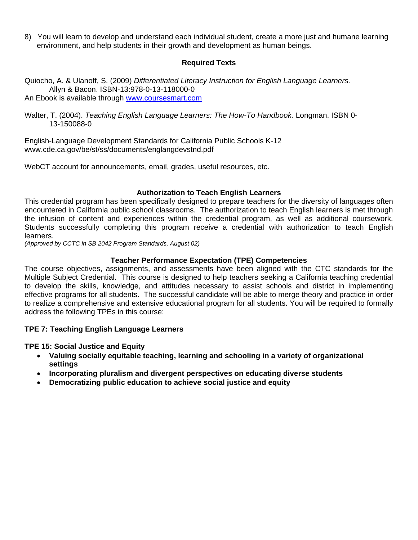8) You will learn to develop and understand each individual student, create a more just and humane learning environment, and help students in their growth and development as human beings.

### **Required Texts**

Quiocho, A. & Ulanoff, S. (2009) *Differentiated Literacy Instruction for English Language Learners.*  Allyn & Bacon. ISBN-13:978-0-13-118000-0 An Ebook is available through www.coursesmart.com

Walter, T. (2004). *Teaching English Language Learners: The How-To Handbook.* Longman. ISBN 0- 13-150088-0

English-Language Development Standards for California Public Schools K-12 www.cde.ca.gov/be/st/ss/documents/englangdevstnd.pdf

WebCT account for announcements, email, grades, useful resources, etc.

#### **Authorization to Teach English Learners**

the infusion of content and experiences within the credential program, as well as additional coursework. This credential program has been specifically designed to prepare teachers for the diversity of languages often encountered in California public school classrooms. The authorization to teach English learners is met through Students successfully completing this program receive a credential with authorization to teach English learners.

*(Approved by CCTC in SB 2042 Program Standards, August 02)* 

#### **Teacher Performance Expectation (TPE) Competencies**

The course objectives, assignments, and assessments have been aligned with the CTC standards for the Multiple Subject Credential. This course is designed to help teachers seeking a California teaching credential to develop the skills, knowledge, and attitudes necessary to assist schools and district in implementing effective programs for all students. The successful candidate will be able to merge theory and practice in order to realize a comprehensive and extensive educational program for all students. You will be required to formally address the following TPEs in this course:

#### **TPE 7: Teaching English Language Learners**

**TPE 15: Social Justice and Equity** 

- • **Valuing socially equitable teaching, learning and schooling in a variety of organizational settings**
- • **Incorporating pluralism and divergent perspectives on educating diverse students**
- • **Democratizing public education to achieve social justice and equity**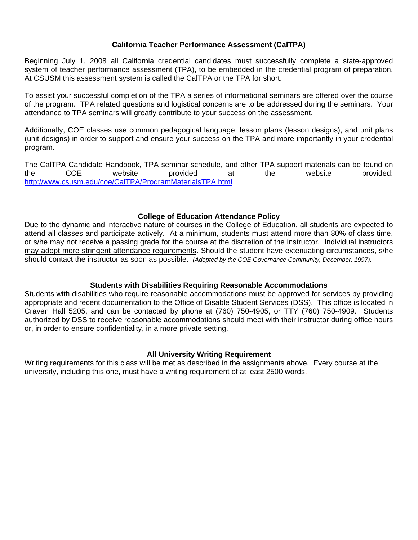### **California Teacher Performance Assessment (CalTPA)**

Beginning July 1, 2008 all California credential candidates must successfully complete a state-approved system of teacher performance assessment (TPA), to be embedded in the credential program of preparation. At CSUSM this assessment system is called the CalTPA or the TPA for short.

To assist your successful completion of the TPA a series of informational seminars are offered over the course of the program. TPA related questions and logistical concerns are to be addressed during the seminars. Your attendance to TPA seminars will greatly contribute to your success on the assessment.

Additionally, COE classes use common pedagogical language, lesson plans (lesson designs), and unit plans (unit designs) in order to support and ensure your success on the TPA and more importantly in your credential program.

 The CalTPA Candidate Handbook, TPA seminar schedule, and other TPA support materials can be found on http://www.csusm.edu/coe/CalTPA/ProgramMaterialsTPA.html the COE website provided at the website provided:

#### **College of Education Attendance Policy**

 should contact the instructor as soon as possible. *(Adopted by the COE Governance Community, December, 1997).* Due to the dynamic and interactive nature of courses in the College of Education, all students are expected to attend all classes and participate actively. At a minimum, students must attend more than 80% of class time, or s/he may not receive a passing grade for the course at the discretion of the instructor. Individual instructors may adopt more stringent attendance requirements. Should the student have extenuating circumstances, s/he

#### **Students with Disabilities Requiring Reasonable Accommodations**

Students with disabilities who require reasonable accommodations must be approved for services by providing appropriate and recent documentation to the Office of Disable Student Services (DSS). This office is located in Craven Hall 5205, and can be contacted by phone at (760) 750-4905, or TTY (760) 750-4909. Students authorized by DSS to receive reasonable accommodations should meet with their instructor during office hours or, in order to ensure confidentiality, in a more private setting.

#### **All University Writing Requirement**

Writing requirements for this class will be met as described in the assignments above. Every course at the university, including this one, must have a writing requirement of at least 2500 words.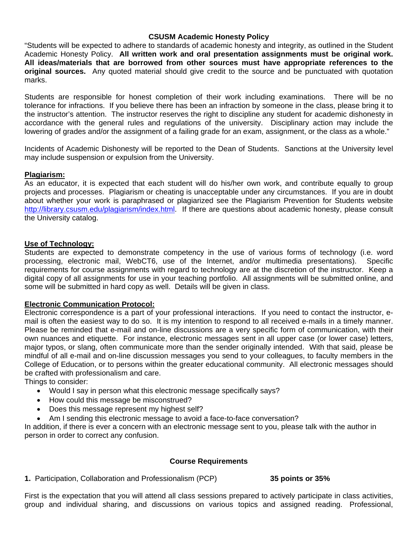#### **CSUSM Academic Honesty Policy**

Academic Honesty Policy. **All written work and oral presentation assignments must be original work.**<br>All ideas/materials that are borrowed from other sources must have appropriate references to the "Students will be expected to adhere to standards of academic honesty and integrity, as outlined in the Student **original sources.** Any quoted material should give credit to the source and be punctuated with quotation marks.

Students are responsible for honest completion of their work including examinations. There will be no tolerance for infractions. If you believe there has been an infraction by someone in the class, please bring it to the instructor's attention. The instructor reserves the right to discipline any student for academic dishonesty in accordance with the general rules and regulations of the university. Disciplinary action may include the lowering of grades and/or the assignment of a failing grade for an exam, assignment, or the class as a whole."

Incidents of Academic Dishonesty will be reported to the Dean of Students. Sanctions at the University level may include suspension or expulsion from the University.

#### **Plagiarism:**

As an educator, it is expected that each student will do his/her own work, and contribute equally to group projects and processes. Plagiarism or cheating is unacceptable under any circumstances. If you are in doubt about whether your work is paraphrased or plagiarized see the Plagiarism Prevention for Students website http://library.csusm.edu/plagiarism/index.html. If there are questions about academic honesty, please consult the University catalog.

#### **Use of Technology:**

Students are expected to demonstrate competency in the use of various forms of technology (i.e. word processing, electronic mail, WebCT6, use of the Internet, and/or multimedia presentations). Specific requirements for course assignments with regard to technology are at the discretion of the instructor. Keep a digital copy of all assignments for use in your teaching portfolio. All assignments will be submitted online, and some will be submitted in hard copy as well. Details will be given in class.

#### **Electronic Communication Protocol:**

Electronic correspondence is a part of your professional interactions. If you need to contact the instructor, email is often the easiest way to do so. It is my intention to respond to all received e-mails in a timely manner. Please be reminded that e-mail and on-line discussions are a very specific form of communication, with their own nuances and etiquette. For instance, electronic messages sent in all upper case (or lower case) letters, major typos, or slang, often communicate more than the sender originally intended. With that said, please be mindful of all e-mail and on-line discussion messages you send to your colleagues, to faculty members in the College of Education, or to persons within the greater educational community. All electronic messages should be crafted with professionalism and care.

Things to consider:

- Would I say in person what this electronic message specifically says?
- How could this message be misconstrued?
- Does this message represent my highest self?
- Am I sending this electronic message to avoid a face-to-face conversation?

In addition, if there is ever a concern with an electronic message sent to you, please talk with the author in person in order to correct any confusion.

#### **Course Requirements**

**1.** Participation, Collaboration and Professionalism (PCP) **35 points or 35%** 

First is the expectation that you will attend all class sessions prepared to actively participate in class activities, group and individual sharing, and discussions on various topics and assigned reading. Professional,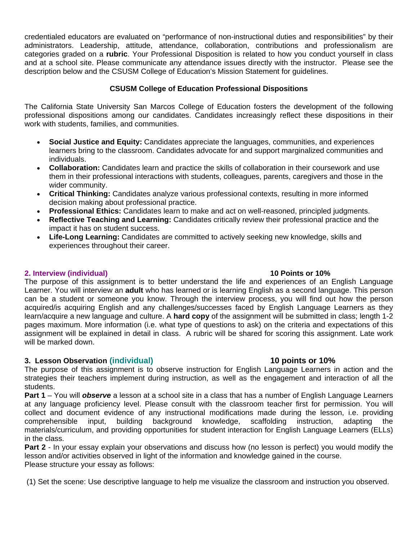credentialed educators are evaluated on "performance of non-instructional duties and responsibilities" by their administrators. Leadership, attitude, attendance, collaboration, contributions and professionalism are categories graded on a **rubric**. Your Professional Disposition is related to how you conduct yourself in class and at a school site. Please communicate any attendance issues directly with the instructor. Please see the description below and the CSUSM College of Education's Mission Statement for guidelines.

## **CSUSM College of Education Professional Dispositions**

The California State University San Marcos College of Education fosters the development of the following professional dispositions among our candidates. Candidates increasingly reflect these dispositions in their work with students, families, and communities.

- **Social Justice and Equity:** Candidates appreciate the languages, communities, and experiences learners bring to the classroom. Candidates advocate for and support marginalized communities and individuals.
- **Collaboration:** Candidates learn and practice the skills of collaboration in their coursework and use them in their professional interactions with students, colleagues, parents, caregivers and those in the wider community.
- **Critical Thinking:** Candidates analyze various professional contexts, resulting in more informed decision making about professional practice.
- **Professional Ethics:** Candidates learn to make and act on well-reasoned, principled judgments.
- Reflective Teaching and Learning: Candidates critically review their professional practice and the impact it has on student success.
- experiences throughout their career. **Life-Long Learning:** Candidates are committed to actively seeking new knowledge, skills and

### **2. Interview (individual) 10 Points or 10%**

The purpose of this assignment is to better understand the life and experiences of an English Language Learner. You will interview an **adult** who has learned or is learning English as a second language. This person can be a student or someone you know. Through the interview process, you will find out how the person acquired/is acquiring English and any challenges/successes faced by English Language Learners as they learn/acquire a new language and culture. A **hard copy** of the assignment will be submitted in class; length 1-2 pages maximum. More information (i.e. what type of questions to ask) on the criteria and expectations of this assignment will be explained in detail in class. A rubric will be shared for scoring this assignment. Late work will be marked down.

# **3. Lesson Observation (individual) 10 points or 10%**

The purpose of this assignment is to observe instruction for English Language Learners in action and the strategies their teachers implement during instruction, as well as the engagement and interaction of all the students.

**Part 1** – You will *observe* a lesson at a school site in a class that has a number of English Language Learners at any language proficiency level. Please consult with the classroom teacher first for permission. You will collect and document evidence of any instructional modifications made during the lesson, i.e. providing comprehensible input, building background knowledge, scaffolding instruction, adapting the materials/curriculum, and providing opportunities for student interaction for English Language Learners (ELLs) in the class.

Part 2 - In your essay explain your observations and discuss how (no lesson is perfect) you would modify the lesson and/or activities observed in light of the information and knowledge gained in the course. Please structure your essay as follows:

(1) Set the scene: Use descriptive language to help me visualize the classroom and instruction you observed.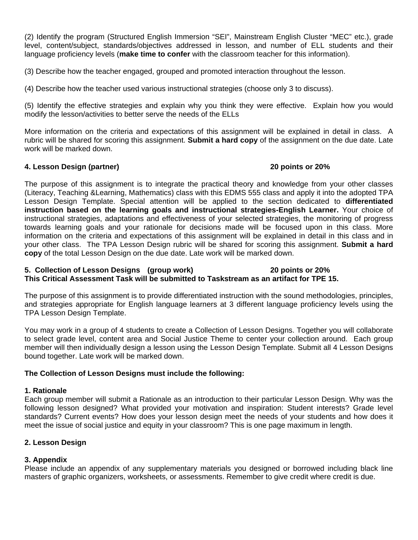(2) Identify the program (Structured English Immersion "SEI", Mainstream English Cluster "MEC" etc.), grade level, content/subject, standards/objectives addressed in lesson, and number of ELL students and their language proficiency levels (**make time to confer** with the classroom teacher for this information).

(3) Describe how the teacher engaged, grouped and promoted interaction throughout the lesson.

(4) Describe how the teacher used various instructional strategies (choose only 3 to discuss).

(5) Identify the effective strategies and explain why you think they were effective. Explain how you would modify the lesson/activities to better serve the needs of the ELLs

More information on the criteria and expectations of this assignment will be explained in detail in class. A rubric will be shared for scoring this assignment. **Submit a hard copy** of the assignment on the due date. Late work will be marked down.

## **4. Lesson Design (partner) 20 points or 20%**

The purpose of this assignment is to integrate the practical theory and knowledge from your other classes (Literacy, Teaching &Learning, Mathematics) class with this EDMS 555 class and apply it into the adopted TPA Lesson Design Template. Special attention will be applied to the section dedicated to **differentiated instruction based on the learning goals and instructional strategies-English Learner.** Your choice of instructional strategies, adaptations and effectiveness of your selected strategies, the monitoring of progress towards learning goals and your rationale for decisions made will be focused upon in this class. More information on the criteria and expectations of this assignment will be explained in detail in this class and in your other class. The TPA Lesson Design rubric will be shared for scoring this assignment. **Submit a hard copy** of the total Lesson Design on the due date. Late work will be marked down.

#### **5. Collection of Lesson Designs (group work) 20 points or 20% This Critical Assessment Task will be submitted to Taskstream as an artifact for TPE 15.**

The purpose of this assignment is to provide differentiated instruction with the sound methodologies, principles, and strategies appropriate for English language learners at 3 different language proficiency levels using the TPA Lesson Design Template.

You may work in a group of 4 students to create a Collection of Lesson Designs. Together you will collaborate to select grade level, content area and Social Justice Theme to center your collection around. Each group member will then individually design a lesson using the Lesson Design Template. Submit all 4 Lesson Designs bound together. Late work will be marked down.

#### **The Collection of Lesson Designs must include the following:**

#### **1. Rationale**

Each group member will submit a Rationale as an introduction to their particular Lesson Design. Why was the following lesson designed? What provided your motivation and inspiration: Student interests? Grade level standards? Current events? How does your lesson design meet the needs of your students and how does it meet the issue of social justice and equity in your classroom? This is one page maximum in length.

# **2. Lesson Design**

# **3. Appendix**

Please include an appendix of any supplementary materials you designed or borrowed including black line masters of graphic organizers, worksheets, or assessments. Remember to give credit where credit is due.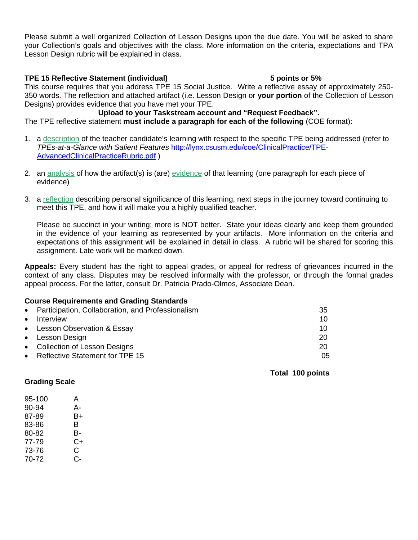Please submit a well organized Collection of Lesson Designs upon the due date. You will be asked to share your Collection's goals and objectives with the class. More information on the criteria, expectations and TPA Lesson Design rubric will be explained in class.

### **TPE 15 Reflective Statement (individual) 5 points or 5%**

This course requires that you address TPE 15 Social Justice. Write a reflective essay of approximately 250- 350 words. The reflection and attached artifact (i.e. Lesson Design or **your portion** of the Collection of Lesson Designs) provides evidence that you have met your TPE.

# **Upload to your Taskstream account and "Request Feedback".**

The TPE reflective statement **must include a paragraph for each of the following** (COE format):

- 1. a description of the teacher candidate's learning with respect to the specific TPE being addressed (refer to *TPEs-at-a-Glance with Salient Features* http://lynx.csusm.edu/coe/ClinicalPractice/TPE-AdvancedClinicalPracticeRubric.pdf )
- 2. an analysis of how the artifact(s) is (are) evidence of that learning (one paragraph for each piece of evidence)
- 3. a reflection describing personal significance of this learning, next steps in the journey toward continuing to meet this TPE, and how it will make you a highly qualified teacher.

Please be succinct in your writing; more is NOT better. State your ideas clearly and keep them grounded in the evidence of your learning as represented by your artifacts. More information on the criteria and expectations of this assignment will be explained in detail in class. A rubric will be shared for scoring this assignment. Late work will be marked down.

**Appeals:** Every student has the right to appeal grades, or appeal for redress of grievances incurred in the context of any class. Disputes may be resolved informally with the professor, or through the formal grades appeal process. For the latter, consult Dr. Patricia Prado-Olmos, Associate Dean.

#### **Course Requirements and Grading Standards**

|           | • Participation, Collaboration, and Professionalism | 35 |
|-----------|-----------------------------------------------------|----|
| $\bullet$ | Interview                                           | 10 |
|           | • Lesson Observation & Essay                        | 10 |
|           | • Lesson Design                                     | 20 |
|           | • Collection of Lesson Designs                      | 20 |
|           | • Reflective Statement for TPE 15                   | 05 |
|           |                                                     |    |

 **Total 100 points** 

#### **Grading Scale**

| 95-100 | А  |
|--------|----|
| 90-94  | А- |
| 87-89  | B+ |
| 83-86  | В  |
| 80-82  | В- |
| 77-79  | C+ |
| 73-76  | C  |
| 70-72  | င- |
|        |    |